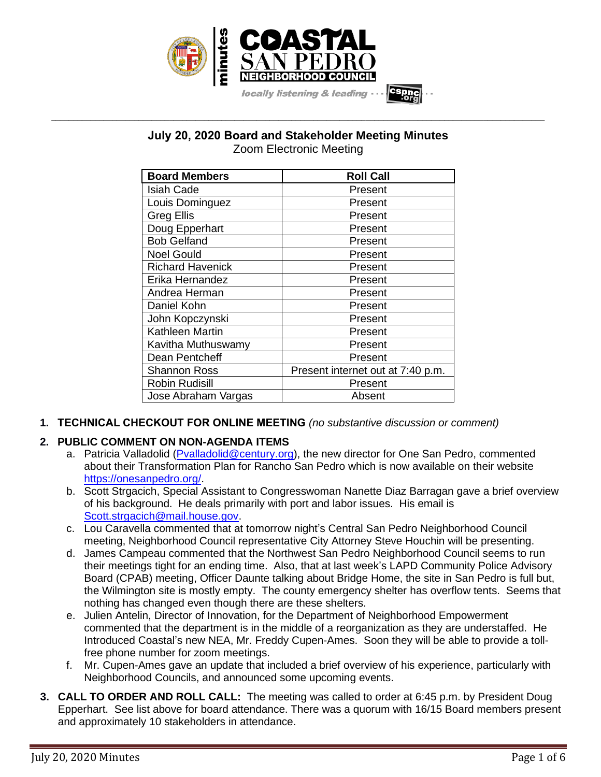

# **July 20, 2020 Board and Stakeholder Meeting Minutes** Zoom Electronic Meeting

**\_\_\_\_\_\_\_\_\_\_\_\_\_\_\_\_\_\_\_\_\_\_\_\_\_\_\_\_\_\_\_\_\_\_\_\_\_\_\_\_\_\_\_\_\_\_\_\_\_\_\_\_\_\_\_\_\_\_\_\_\_\_\_\_\_\_\_\_\_\_\_\_\_\_\_\_\_\_\_\_\_\_\_\_\_\_\_\_\_\_\_\_\_\_\_\_\_\_\_\_\_\_\_\_\_\_\_\_\_\_\_\_\_**

| <b>Board Members</b>    | <b>Roll Call</b>                  |
|-------------------------|-----------------------------------|
| <b>Isiah Cade</b>       | Present                           |
| Louis Dominguez         | Present                           |
| <b>Greg Ellis</b>       | Present                           |
| Doug Epperhart          | Present                           |
| <b>Bob Gelfand</b>      | Present                           |
| <b>Noel Gould</b>       | Present                           |
| <b>Richard Havenick</b> | Present                           |
| Erika Hernandez         | Present                           |
| Andrea Herman           | Present                           |
| Daniel Kohn             | Present                           |
| John Kopczynski         | Present                           |
| Kathleen Martin         | Present                           |
| Kavitha Muthuswamy      | Present                           |
| Dean Pentcheff          | Present                           |
| Shannon Ross            | Present internet out at 7:40 p.m. |
| Robin Rudisill          | Present                           |
| Jose Abraham Vargas     | Absent                            |

**1. TECHNICAL CHECKOUT FOR ONLINE MEETING** *(no substantive discussion or comment)*

# **2. PUBLIC COMMENT ON NON-AGENDA ITEMS**

- a. Patricia Valladolid [\(Pvalladolid@century.org\)](mailto:Pvalladolid@century.org), the new director for One San Pedro, commented about their Transformation Plan for Rancho San Pedro which is now available on their website [https://onesanpedro.org/.](https://onesanpedro.org/)
- b. Scott Strgacich, Special Assistant to Congresswoman Nanette Diaz Barragan gave a brief overview of his background. He deals primarily with port and labor issues. His email is [Scott.strgacich@mail.house.gov.](mailto:Scott.strgacich@mail.house.gov)
- c. Lou Caravella commented that at tomorrow night's Central San Pedro Neighborhood Council meeting, Neighborhood Council representative City Attorney Steve Houchin will be presenting.
- d. James Campeau commented that the Northwest San Pedro Neighborhood Council seems to run their meetings tight for an ending time. Also, that at last week's LAPD Community Police Advisory Board (CPAB) meeting, Officer Daunte talking about Bridge Home, the site in San Pedro is full but, the Wilmington site is mostly empty. The county emergency shelter has overflow tents. Seems that nothing has changed even though there are these shelters.
- e. Julien Antelin, Director of Innovation, for the Department of Neighborhood Empowerment commented that the department is in the middle of a reorganization as they are understaffed. He Introduced Coastal's new NEA, Mr. Freddy Cupen-Ames. Soon they will be able to provide a tollfree phone number for zoom meetings.
- f. Mr. Cupen-Ames gave an update that included a brief overview of his experience, particularly with Neighborhood Councils, and announced some upcoming events.
- **3. CALL TO ORDER AND ROLL CALL:** The meeting was called to order at 6:45 p.m. by President Doug Epperhart. See list above for board attendance. There was a quorum with 16/15 Board members present and approximately 10 stakeholders in attendance.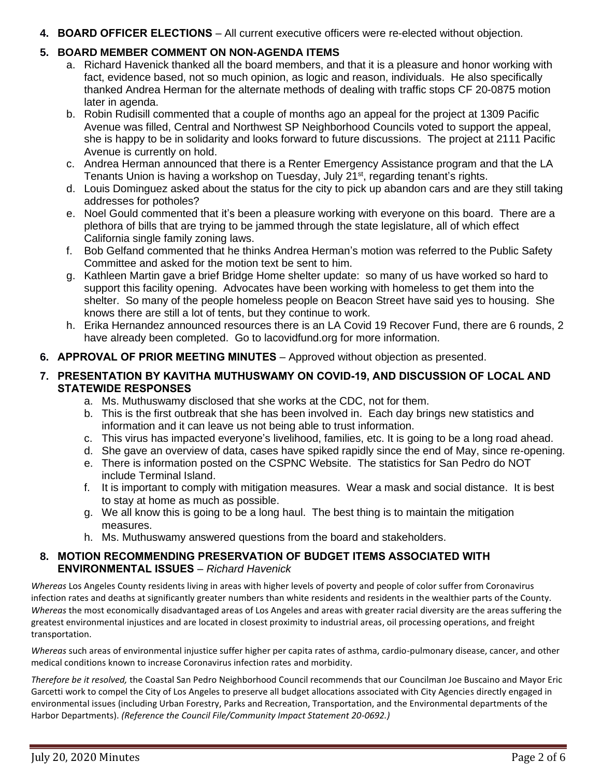## **4. BOARD OFFICER ELECTIONS** – All current executive officers were re-elected without objection.

# **5. BOARD MEMBER COMMENT ON NON-AGENDA ITEMS**

- a. Richard Havenick thanked all the board members, and that it is a pleasure and honor working with fact, evidence based, not so much opinion, as logic and reason, individuals. He also specifically thanked Andrea Herman for the alternate methods of dealing with traffic stops CF 20-0875 motion later in agenda.
- b. Robin Rudisill commented that a couple of months ago an appeal for the project at 1309 Pacific Avenue was filled, Central and Northwest SP Neighborhood Councils voted to support the appeal, she is happy to be in solidarity and looks forward to future discussions. The project at 2111 Pacific Avenue is currently on hold.
- c. Andrea Herman announced that there is a Renter Emergency Assistance program and that the LA Tenants Union is having a workshop on Tuesday, July 21<sup>st</sup>, regarding tenant's rights.
- d. Louis Dominguez asked about the status for the city to pick up abandon cars and are they still taking addresses for potholes?
- e. Noel Gould commented that it's been a pleasure working with everyone on this board. There are a plethora of bills that are trying to be jammed through the state legislature, all of which effect California single family zoning laws.
- f. Bob Gelfand commented that he thinks Andrea Herman's motion was referred to the Public Safety Committee and asked for the motion text be sent to him.
- g. Kathleen Martin gave a brief Bridge Home shelter update: so many of us have worked so hard to support this facility opening. Advocates have been working with homeless to get them into the shelter. So many of the people homeless people on Beacon Street have said yes to housing. She knows there are still a lot of tents, but they continue to work.
- h. Erika Hernandez announced resources there is an LA Covid 19 Recover Fund, there are 6 rounds, 2 have already been completed. Go to lacovidfund.org for more information.
- **6. APPROVAL OF PRIOR MEETING MINUTES** Approved without objection as presented.

# **7. PRESENTATION BY KAVITHA MUTHUSWAMY ON COVID-19, AND DISCUSSION OF LOCAL AND STATEWIDE RESPONSES**

- a. Ms. Muthuswamy disclosed that she works at the CDC, not for them.
- b. This is the first outbreak that she has been involved in. Each day brings new statistics and information and it can leave us not being able to trust information.
- c. This virus has impacted everyone's livelihood, families, etc. It is going to be a long road ahead.
- d. She gave an overview of data, cases have spiked rapidly since the end of May, since re-opening.
- e. There is information posted on the CSPNC Website. The statistics for San Pedro do NOT include Terminal Island.
- f. It is important to comply with mitigation measures. Wear a mask and social distance. It is best to stay at home as much as possible.
- g. We all know this is going to be a long haul. The best thing is to maintain the mitigation measures.
- h. Ms. Muthuswamy answered questions from the board and stakeholders.

# **8. MOTION RECOMMENDING PRESERVATION OF BUDGET ITEMS ASSOCIATED WITH ENVIRONMENTAL ISSUES** – *Richard Havenick*

*Whereas* Los Angeles County residents living in areas with higher levels of poverty and people of color suffer from Coronavirus infection rates and deaths at significantly greater numbers than white residents and residents in the wealthier parts of the County. *Whereas* the most economically disadvantaged areas of Los Angeles and areas with greater racial diversity are the areas suffering the greatest environmental injustices and are located in closest proximity to industrial areas, oil processing operations, and freight transportation.

*Whereas* such areas of environmental injustice suffer higher per capita rates of asthma, cardio-pulmonary disease, cancer, and other medical conditions known to increase Coronavirus infection rates and morbidity.

*Therefore be it resolved,* the Coastal San Pedro Neighborhood Council recommends that our Councilman Joe Buscaino and Mayor Eric Garcetti work to compel the City of Los Angeles to preserve all budget allocations associated with City Agencies directly engaged in environmental issues (including Urban Forestry, Parks and Recreation, Transportation, and the Environmental departments of the Harbor Departments). *(Reference the Council File/Community Impact Statement 20-0692.)*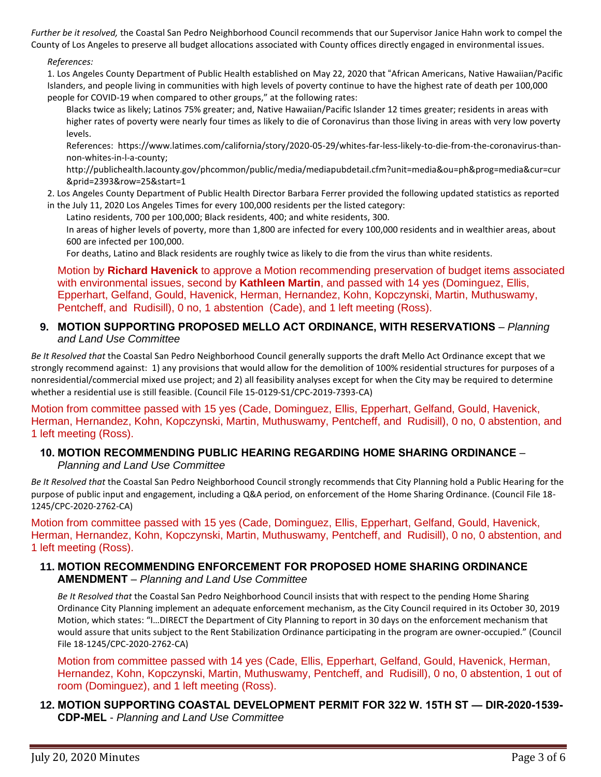*Further be it resolved,* the Coastal San Pedro Neighborhood Council recommends that our Supervisor Janice Hahn work to compel the County of Los Angeles to preserve all budget allocations associated with County offices directly engaged in environmental issues.

#### *References:*

1. Los Angeles County Department of Public Health established on May 22, 2020 that "African Americans, Native Hawaiian/Pacific Islanders, and people living in communities with high levels of poverty continue to have the highest rate of death per 100,000 people for COVID-19 when compared to other groups," at the following rates:

Blacks twice as likely; Latinos 75% greater; and, Native Hawaiian/Pacific Islander 12 times greater; residents in areas with higher rates of poverty were nearly four times as likely to die of Coronavirus than those living in areas with very low poverty levels.

References: https://www.latimes.com/california/story/2020-05-29/whites-far-less-likely-to-die-from-the-coronavirus-thannon-whites-in-l-a-county;

http://publichealth.lacounty.gov/phcommon/public/media/mediapubdetail.cfm?unit=media&ou=ph&prog=media&cur=cur &prid=2393&row=25&start=1

2. Los Angeles County Department of Public Health Director Barbara Ferrer provided the following updated statistics as reported in the July 11, 2020 Los Angeles Times for every 100,000 residents per the listed category:

Latino residents, 700 per 100,000; Black residents, 400; and white residents, 300.

In areas of higher levels of poverty, more than 1,800 are infected for every 100,000 residents and in wealthier areas, about 600 are infected per 100,000.

For deaths, Latino and Black residents are roughly twice as likely to die from the virus than white residents.

Motion by **Richard Havenick** to approve a Motion recommending preservation of budget items associated with environmental issues, second by **Kathleen Martin**, and passed with 14 yes (Dominguez, Ellis, Epperhart, Gelfand, Gould, Havenick, Herman, Hernandez, Kohn, Kopczynski, Martin, Muthuswamy, Pentcheff, and Rudisill), 0 no, 1 abstention (Cade), and 1 left meeting (Ross).

### **9. MOTION SUPPORTING PROPOSED MELLO ACT ORDINANCE, WITH RESERVATIONS** – *Planning and Land Use Committee*

*Be It Resolved that* the Coastal San Pedro Neighborhood Council generally supports the draft Mello Act Ordinance except that we strongly recommend against: 1) any provisions that would allow for the demolition of 100% residential structures for purposes of a nonresidential/commercial mixed use project; and 2) all feasibility analyses except for when the City may be required to determine whether a residential use is still feasible. (Council File 15-0129-S1/CPC-2019-7393-CA)

Motion from committee passed with 15 yes (Cade, Dominguez, Ellis, Epperhart, Gelfand, Gould, Havenick, Herman, Hernandez, Kohn, Kopczynski, Martin, Muthuswamy, Pentcheff, and Rudisill), 0 no, 0 abstention, and 1 left meeting (Ross).

### **10. MOTION RECOMMENDING PUBLIC HEARING REGARDING HOME SHARING ORDINANCE** – *Planning and Land Use Committee*

*Be It Resolved that* the Coastal San Pedro Neighborhood Council strongly recommends that City Planning hold a Public Hearing for the purpose of public input and engagement, including a Q&A period, on enforcement of the Home Sharing Ordinance. (Council File 18- 1245/CPC-2020-2762-CA)

Motion from committee passed with 15 yes (Cade, Dominguez, Ellis, Epperhart, Gelfand, Gould, Havenick, Herman, Hernandez, Kohn, Kopczynski, Martin, Muthuswamy, Pentcheff, and Rudisill), 0 no, 0 abstention, and 1 left meeting (Ross).

### **11. MOTION RECOMMENDING ENFORCEMENT FOR PROPOSED HOME SHARING ORDINANCE AMENDMENT** – *Planning and Land Use Committee*

*Be It Resolved that* the Coastal San Pedro Neighborhood Council insists that with respect to the pending Home Sharing Ordinance City Planning implement an adequate enforcement mechanism, as the City Council required in its October 30, 2019 Motion, which states: "I…DIRECT the Department of City Planning to report in 30 days on the enforcement mechanism that would assure that units subject to the Rent Stabilization Ordinance participating in the program are owner-occupied." (Council File 18-1245/CPC-2020-2762-CA)

Motion from committee passed with 14 yes (Cade, Ellis, Epperhart, Gelfand, Gould, Havenick, Herman, Hernandez, Kohn, Kopczynski, Martin, Muthuswamy, Pentcheff, and Rudisill), 0 no, 0 abstention, 1 out of room (Dominguez), and 1 left meeting (Ross).

## **12. MOTION SUPPORTING COASTAL DEVELOPMENT PERMIT FOR 322 W. 15TH ST — DIR-2020-1539- CDP-MEL** - *Planning and Land Use Committee*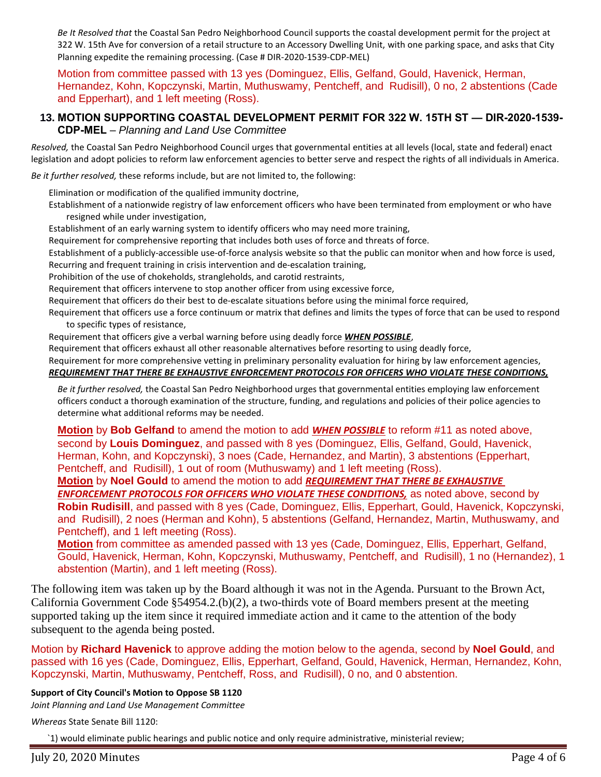*Be It Resolved that* the Coastal San Pedro Neighborhood Council supports the coastal development permit for the project at 322 W. 15th Ave for conversion of a retail structure to an Accessory Dwelling Unit, with one parking space, and asks that City Planning expedite the remaining processing. (Case # DIR-2020-1539-CDP-MEL)

Motion from committee passed with 13 yes (Dominguez, Ellis, Gelfand, Gould, Havenick, Herman, Hernandez, Kohn, Kopczynski, Martin, Muthuswamy, Pentcheff, and Rudisill), 0 no, 2 abstentions (Cade and Epperhart), and 1 left meeting (Ross).

#### **13. MOTION SUPPORTING COASTAL DEVELOPMENT PERMIT FOR 322 W. 15TH ST — DIR-2020-1539- CDP-MEL** – *Planning and Land Use Committee*

*Resolved,* the Coastal San Pedro Neighborhood Council urges that governmental entities at all levels (local, state and federal) enact legislation and adopt policies to reform law enforcement agencies to better serve and respect the rights of all individuals in America.

*Be it further resolved,* these reforms include, but are not limited to, the following:

Elimination or modification of the qualified immunity doctrine,

Establishment of a nationwide registry of law enforcement officers who have been terminated from employment or who have resigned while under investigation,

Establishment of an early warning system to identify officers who may need more training,

Requirement for comprehensive reporting that includes both uses of force and threats of force.

Establishment of a publicly-accessible use-of-force analysis website so that the public can monitor when and how force is used, Recurring and frequent training in crisis intervention and de-escalation training,

Prohibition of the use of chokeholds, strangleholds, and carotid restraints,

Requirement that officers intervene to stop another officer from using excessive force,

Requirement that officers do their best to de-escalate situations before using the minimal force required,

Requirement that officers use a force continuum or matrix that defines and limits the types of force that can be used to respond to specific types of resistance,

Requirement that officers give a verbal warning before using deadly force *WHEN POSSIBLE*,

Requirement that officers exhaust all other reasonable alternatives before resorting to using deadly force,

Requirement for more comprehensive vetting in preliminary personality evaluation for hiring by law enforcement agencies,

#### *REQUIREMENT THAT THERE BE EXHAUSTIVE ENFORCEMENT PROTOCOLS FOR OFFICERS WHO VIOLATE THESE CONDITIONS,*

*Be it further resolved,* the Coastal San Pedro Neighborhood urges that governmental entities employing law enforcement officers conduct a thorough examination of the structure, funding, and regulations and policies of their police agencies to determine what additional reforms may be needed.

**Motion** by **Bob Gelfand** to amend the motion to add *WHEN POSSIBLE* to reform #11 as noted above, second by **Louis Dominguez**, and passed with 8 yes (Dominguez, Ellis, Gelfand, Gould, Havenick, Herman, Kohn, and Kopczynski), 3 noes (Cade, Hernandez, and Martin), 3 abstentions (Epperhart, Pentcheff, and Rudisill), 1 out of room (Muthuswamy) and 1 left meeting (Ross).

# **Motion** by **Noel Gould** to amend the motion to add *REQUIREMENT THAT THERE BE EXHAUSTIVE*

*ENFORCEMENT PROTOCOLS FOR OFFICERS WHO VIOLATE THESE CONDITIONS,* as noted above, second by **Robin Rudisill**, and passed with 8 yes (Cade, Dominguez, Ellis, Epperhart, Gould, Havenick, Kopczynski, and Rudisill), 2 noes (Herman and Kohn), 5 abstentions (Gelfand, Hernandez, Martin, Muthuswamy, and Pentcheff), and 1 left meeting (Ross).

**Motion** from committee as amended passed with 13 yes (Cade, Dominguez, Ellis, Epperhart, Gelfand, Gould, Havenick, Herman, Kohn, Kopczynski, Muthuswamy, Pentcheff, and Rudisill), 1 no (Hernandez), 1 abstention (Martin), and 1 left meeting (Ross).

The following item was taken up by the Board although it was not in the Agenda. Pursuant to the Brown Act, California Government Code §54954.2.(b)(2), a two-thirds vote of Board members present at the meeting supported taking up the item since it required immediate action and it came to the attention of the body subsequent to the agenda being posted.

Motion by **Richard Havenick** to approve adding the motion below to the agenda, second by **Noel Gould**, and passed with 16 yes (Cade, Dominguez, Ellis, Epperhart, Gelfand, Gould, Havenick, Herman, Hernandez, Kohn, Kopczynski, Martin, Muthuswamy, Pentcheff, Ross, and Rudisill), 0 no, and 0 abstention.

#### **Support of City Council's Motion to Oppose SB 1120**

*Joint Planning and Land Use Management Committee*

*Whereas* State Senate Bill 1120:

`1) would eliminate public hearings and public notice and only require administrative, ministerial review;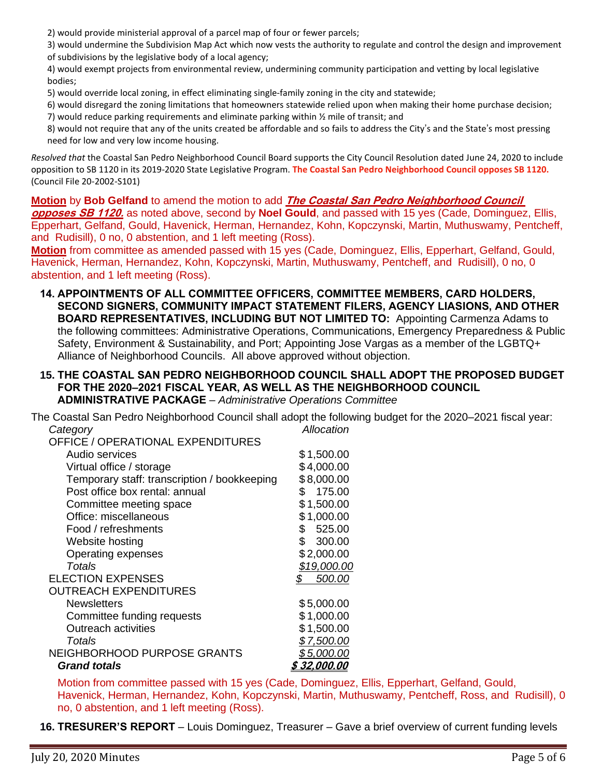2) would provide ministerial approval of a parcel map of four or fewer parcels;

3) would undermine the Subdivision Map Act which now vests the authority to regulate and control the design and improvement of subdivisions by the legislative body of a local agency;

4) would exempt projects from environmental review, undermining community participation and vetting by local legislative bodies;

5) would override local zoning, in effect eliminating single-family zoning in the city and statewide;

6) would disregard the zoning limitations that homeowners statewide relied upon when making their home purchase decision;

7) would reduce parking requirements and eliminate parking within  $\frac{1}{2}$  mile of transit; and

8) would not require that any of the units created be affordable and so fails to address the City's and the State's most pressing need for low and very low income housing.

*Resolved that* the Coastal San Pedro Neighborhood Council Board supports the City Council Resolution dated June 24, 2020 to include opposition to SB 1120 in its 2019-2020 State Legislative Program. **The Coastal San Pedro Neighborhood Council opposes SB 1120.**  (Council File 20-2002-S101)

**Motion** by **Bob Gelfand** to amend the motion to add **The Coastal San Pedro Neighborhood Council opposes SB 1120.** as noted above, second by **Noel Gould**, and passed with 15 yes (Cade, Dominguez, Ellis, Epperhart, Gelfand, Gould, Havenick, Herman, Hernandez, Kohn, Kopczynski, Martin, Muthuswamy, Pentcheff, and Rudisill), 0 no, 0 abstention, and 1 left meeting (Ross).

**Motion** from committee as amended passed with 15 yes (Cade, Dominguez, Ellis, Epperhart, Gelfand, Gould, Havenick, Herman, Hernandez, Kohn, Kopczynski, Martin, Muthuswamy, Pentcheff, and Rudisill), 0 no, 0 abstention, and 1 left meeting (Ross).

- **14. APPOINTMENTS OF ALL COMMITTEE OFFICERS, COMMITTEE MEMBERS, CARD HOLDERS, SECOND SIGNERS, COMMUNITY IMPACT STATEMENT FILERS, AGENCY LIASIONS, AND OTHER BOARD REPRESENTATIVES, INCLUDING BUT NOT LIMITED TO:** Appointing Carmenza Adams to the following committees: Administrative Operations, Communications, Emergency Preparedness & Public Safety, Environment & Sustainability, and Port; Appointing Jose Vargas as a member of the LGBTQ+ Alliance of Neighborhood Councils. All above approved without objection.
- **15. THE COASTAL SAN PEDRO NEIGHBORHOOD COUNCIL SHALL ADOPT THE PROPOSED BUDGET FOR THE 2020–2021 FISCAL YEAR, AS WELL AS THE NEIGHBORHOOD COUNCIL ADMINISTRATIVE PACKAGE** – *Administrative Operations Committee*

The Coastal San Pedro Neighborhood Council shall adopt the following budget for the 2020–2021 fiscal year: *Category Allocation*

| <b>OFFICE / OPERATIONAL EXPENDITURES</b>     |                  |
|----------------------------------------------|------------------|
| Audio services                               | \$1,500.00       |
| Virtual office / storage                     | \$4,000.00       |
| Temporary staff: transcription / bookkeeping | \$8,000.00       |
| Post office box rental: annual               | 175.00<br>S.     |
| Committee meeting space                      | \$1,500.00       |
| Office: miscellaneous                        | \$1,000.00       |
| Food / refreshments                          | 525.00<br>\$     |
| Website hosting                              | \$<br>300.00     |
| Operating expenses                           | \$2,000.00       |
| Totals                                       | \$19,000.00      |
| <b>ELECTION EXPENSES</b>                     | 500.00<br>\$     |
| <b>OUTREACH EXPENDITURES</b>                 |                  |
| <b>Newsletters</b>                           | \$5,000.00       |
| Committee funding requests                   | \$1,000.00       |
| <b>Outreach activities</b>                   | \$1,500.00       |
| Totals                                       | \$7,500.00       |
| NEIGHBORHOOD PURPOSE GRANTS                  | \$5,000.00       |
| <b>Grand totals</b>                          | <u>32,000.00</u> |
|                                              |                  |

Motion from committee passed with 15 yes (Cade, Dominguez, Ellis, Epperhart, Gelfand, Gould, Havenick, Herman, Hernandez, Kohn, Kopczynski, Martin, Muthuswamy, Pentcheff, Ross, and Rudisill), 0 no, 0 abstention, and 1 left meeting (Ross).

**16. TRESURER'S REPORT** – Louis Dominguez, Treasurer – Gave a brief overview of current funding levels